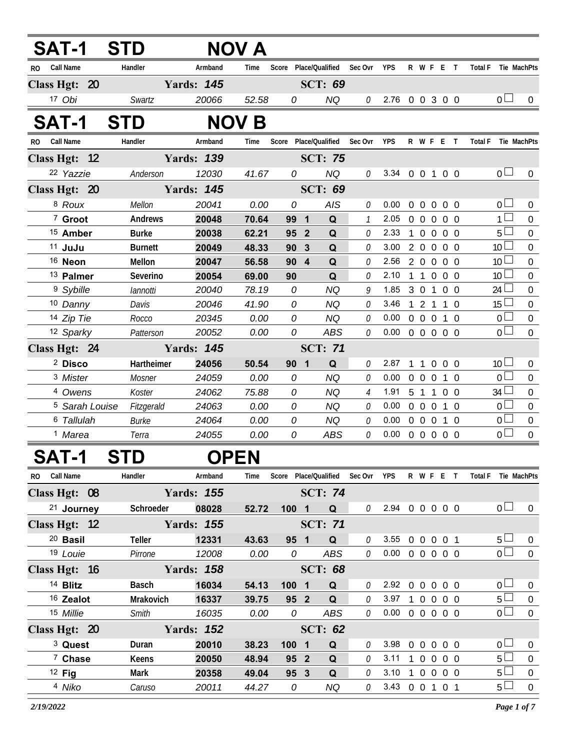|              | SAT-1                     | <b>STD</b>     |                   | <b>NOV A</b> |                                   |                 |                |                    |            |                   |                   |                   |                     |                 |                  |
|--------------|---------------------------|----------------|-------------------|--------------|-----------------------------------|-----------------|----------------|--------------------|------------|-------------------|-------------------|-------------------|---------------------|-----------------|------------------|
| RO.          | Call Name                 | Handler        | Armband           | Time         | Score                             | Place/Qualified | Sec Ovr        | <b>YPS</b>         |            | R W F E T         |                   |                   | <b>Total F</b>      |                 | Tie MachPts      |
|              | Class Hgt: 20             |                | <b>Yards: 145</b> |              |                                   | <b>SCT: 69</b>  |                |                    |            |                   |                   |                   |                     |                 |                  |
|              | 17 Obi                    | Swartz         | 20066             | 52.58        | 0                                 | NQ              |                | $0$ 2.76 0 0 3 0 0 |            |                   |                   |                   |                     | 0 <sub>l</sub>  | $\Omega$         |
|              | SAT-1                     | <b>STD</b>     |                   | <b>NOV B</b> |                                   |                 |                |                    |            |                   |                   |                   |                     |                 |                  |
| RO Call Name |                           | Handler        | Armband           | Time         | Score Place/Qualified Sec Ovr YPS |                 |                |                    |            | R W F E T         |                   |                   | Total F Tie MachPts |                 |                  |
|              | Class Hgt: 12             |                | <b>Yards: 139</b> |              |                                   | <b>SCT: 75</b>  |                |                    |            |                   |                   |                   |                     |                 |                  |
|              | 22 Yazzie                 | Anderson       | 12030             | 41.67        | $\Omega$                          | <b>NQ</b>       | $\theta$       | 3.34 0 0 1 0 0     |            |                   |                   |                   |                     | 0 <sub>0</sub>  | $\Omega$         |
|              | Class Hgt: 20             |                | <b>Yards: 145</b> |              |                                   | <b>SCT: 69</b>  |                |                    |            |                   |                   |                   |                     |                 |                  |
|              | 8 Roux                    | Mellon         | 20041             | 0.00         | 0                                 | AIS             | $\theta$       | 0.00               | $0\quad 0$ |                   | $\overline{0}$    | $0\quad 0$        |                     | 0 <sub>0</sub>  | $\overline{0}$   |
|              | 7 Groot                   | Andrews        | 20048             | 70.64        | 99 1                              | Q               | $\mathcal{I}$  | 2.05               |            | $0\quad 0$        | $0\quad 0\quad 0$ |                   |                     | $1 \Box$        | $\mathbf 0$      |
|              | <sup>15</sup> Amber       | <b>Burke</b>   | 20038             | 62.21        | 95 2                              | $\mathbf Q$     | $\theta$       | 2.33               |            | 1 0 0 0 0         |                   |                   |                     | $5\Box$         | $\boldsymbol{0}$ |
|              | $11$ JuJu                 | <b>Burnett</b> | 20049             | 48.33        | 90<br>$\mathbf{3}$                | Q               | $\theta$       | 3.00               | $2\quad 0$ | $\overline{0}$    |                   | 0 <sub>0</sub>    |                     | 10              | $\mathbf 0$      |
|              | <sup>16</sup> Neon        | Mellon         | 20047             | 56.58        | 90 <sub>4</sub>                   | Q               | $\theta$       | 2.56               | 2 0        | $\overline{0}$    |                   | 0 <sub>0</sub>    |                     | 10 <sup>1</sup> | $\overline{0}$   |
|              | <sup>13</sup> Palmer      | Severino       | 20054             | 69.00        | 90                                | Q               | $\Omega$       | 2.10               | $1\quad1$  | $\overline{0}$    |                   | 0 <sub>0</sub>    |                     | 10              | $\theta$         |
|              | <sup>9</sup> Sybille      | lannotti       | 20040             | 78.19        | 0                                 | <b>NQ</b>       | 9              | 1.85               |            | 3 0 1 0 0         |                   |                   |                     | $24 \Box$       | $\mathbf 0$      |
|              | 10 Danny                  | Davis          | 20046             | 41.90        | 0                                 | <b>NQ</b>       | $\mathcal{O}$  | 3.46               |            | 121               |                   | $1 \Omega$        |                     | 15 <sup>1</sup> | $\mathbf 0$      |
|              | 14 Zip Tie                | Rocco          | 20345             | 0.00         | $\overline{O}$                    | <b>NQ</b>       | 0              | 0.00               |            | $0\quad 0\quad 0$ |                   | $1\quad \Omega$   |                     | 0 <sub>0</sub>  | $\overline{0}$   |
|              | 12 Sparky                 | Patterson      | 20052             | 0.00         | 0                                 | <b>ABS</b>      | $\mathcal{O}$  | 0.00               |            | 0 0 0 0 0         |                   |                   |                     | $\overline{0}$  | $\theta$         |
|              | Class Hgt: 24             |                | <b>Yards: 145</b> |              |                                   | <b>SCT: 71</b>  |                |                    |            |                   |                   |                   |                     |                 |                  |
|              | <sup>2</sup> Disco        | Hartheimer     | 24056             | 50.54        | 90 <sub>1</sub>                   | Q               | 0              | 2.87               |            | 1 1 0 0 0         |                   |                   |                     | 10 <sup>1</sup> | $\mathbf 0$      |
|              | <sup>3</sup> Mister       | Mosner         | 24059             | 0.00         | 0                                 | <b>NQ</b>       | $\theta$       | 0.00               |            | 0 0 0 1 0         |                   |                   |                     | $\overline{0}$  | $\overline{0}$   |
|              | 4 Owens                   | Koster         | 24062             | 75.88        | 0                                 | <b>NQ</b>       | $\overline{4}$ | 1.91               |            | 5 1 1 0 0         |                   |                   |                     | 34 <sup>1</sup> | $\boldsymbol{0}$ |
|              | <sup>5</sup> Sarah Louise | Fitzgerald     | 24063             | 0.00         | 0                                 | <b>NQ</b>       | $\mathcal O$   | 0.00               |            | $0\quad 0\quad 0$ |                   | $1\quad$ $\Omega$ |                     | 0 <sub>0</sub>  | $\overline{0}$   |
|              | 6 Tallulah                | <b>Burke</b>   | 24064             | 0.00         | 0                                 | <b>NQ</b>       | $\mathcal O$   | 0.00               | $0\quad 0$ | $\overline{0}$    |                   | $1\quad$ $\Omega$ |                     | 0 <sub>0</sub>  | $\mathbf 0$      |
|              | <sup>1</sup> Marea        | Terra          | 24055             | 0.00         | 0                                 | <b>ABS</b>      | $\Omega$       | 0.00               |            | 00000             |                   |                   |                     | $\overline{0}$  | $\Omega$         |

## **SAT-1 STD OPEN**

| Call Name<br>RO.     | Handler           | Armband           | Time  | Score            |                | Place/Qualified | Sec Ovr  | <b>YPS</b> | R            | W F            | F          |                          | Total F | Tie MachPts    |          |
|----------------------|-------------------|-------------------|-------|------------------|----------------|-----------------|----------|------------|--------------|----------------|------------|--------------------------|---------|----------------|----------|
| Class Hgt: 08        |                   | <b>Yards: 155</b> |       |                  |                | <b>SCT: 74</b>  |          |            |              |                |            |                          |         |                |          |
| 21 Journey           | Schroeder         | 08028             | 52.72 | 100 <sub>1</sub> | 1              | Q               | $\theta$ | 2.94       | $\Omega$     | $\overline{0}$ |            | $0\quad 0\quad 0$        |         | 0 <sub>0</sub> | $\Omega$ |
| Class Hgt: 12        |                   | <b>Yards: 155</b> |       |                  |                | <b>SCT: 71</b>  |          |            |              |                |            |                          |         |                |          |
| $20$ Basil           | Teller            | 12331             | 43.63 | 95 1             |                | Q               | $\theta$ | 3.55       | <sup>0</sup> | $\Omega$       | $0\quad 0$ |                          |         | 5 <sub>1</sub> | $\Omega$ |
| 19 Louie             | Pirrone           | 12008             | 0.00  | 0                |                | ABS             | 0        | 0.00       | $\Omega$     | $\Omega$       | $\Omega$   | $0\quad 0$               |         | 0 <sub>l</sub> | $\Omega$ |
| Class Hgt: 16        | <b>Yards: 158</b> |                   |       |                  | <b>SCT: 68</b> |                 |          |            |              |                |            |                          |         |                |          |
| <sup>14</sup> Blitz  | <b>Basch</b>      | 16034             | 54.13 | 100 <sub>1</sub> | $\blacksquare$ | Q               | $\theta$ | 2.92       | <sup>n</sup> | $\Omega$       | $\Omega$   | 0 O                      |         | 0 <sub>0</sub> | $\Omega$ |
| <sup>16</sup> Zealot | Mrakovich         | 16337             | 39.75 |                  | 95 2           | Q               | $\theta$ | 3.97       |              | 0              | $\Omega$   | 0 <sub>0</sub>           |         | 5 <sup>L</sup> | $\Omega$ |
| 15 Millie            | Smith             | 16035             | 0.00  | 0                |                | ABS             | $\theta$ | 0.00       | $\Omega$     | $\Omega$       |            | $0\quad 0\quad 0$        |         | 0 <sub>l</sub> | $\Omega$ |
| Class Hgt: 20        |                   | <b>Yards: 152</b> |       |                  |                | <b>SCT: 62</b>  |          |            |              |                |            |                          |         |                |          |
| <sup>3</sup> Quest   | Duran             | 20010             | 38.23 | 100 <sub>1</sub> | - 1            | Q               | $\theta$ | 3.98       | <sup>n</sup> | $\Omega$       | $\Omega$   | 0 O                      |         | 0 <sub>0</sub> | $\Omega$ |
| <sup>7</sup> Chase   | <b>Keens</b>      | 20050             | 48.94 |                  | 95 2           | Q               | $\Omega$ | 3.11       |              |                |            | $0\quad 0\quad 0\quad 0$ |         | $5+$           | $\Omega$ |
| $12$ Fig             | Mark              | 20358             | 49.04 |                  | 95 3           | Q               | $\theta$ | 3.10       |              | $\cup$         |            | 000                      |         | 5 <sup>L</sup> | $\Omega$ |
| 4 Niko               | Caruso            | 20011             | 44.27 | 0                |                | NQ              | $\theta$ | 3.43       | $\Omega$     | $\Omega$       |            | $\Omega$                 |         | 5 <sup>L</sup> | $\Omega$ |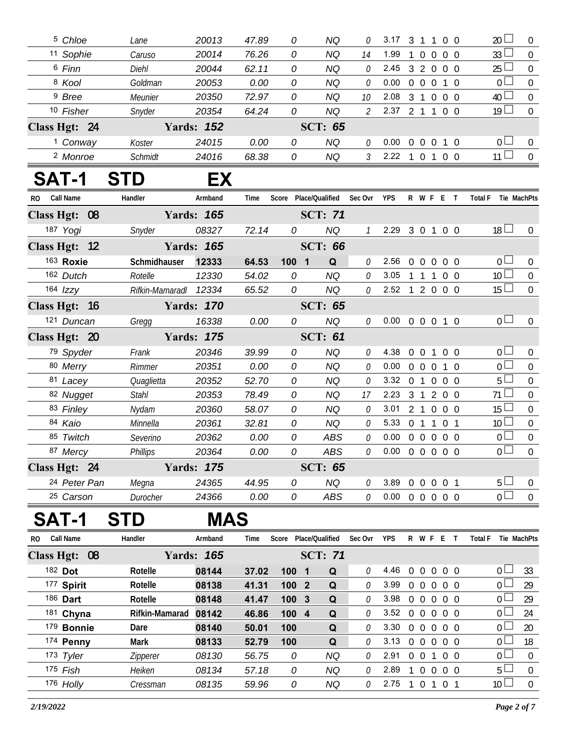|              | <sup>5</sup> Chloe  | Lane                  | 20013             | 47.89 | 0                                 | <b>NQ</b>       | 0                           | 3.17 3 1 1 0 0             |                |                                  |                | $20 \Box$           | $\overline{0}$   |
|--------------|---------------------|-----------------------|-------------------|-------|-----------------------------------|-----------------|-----------------------------|----------------------------|----------------|----------------------------------|----------------|---------------------|------------------|
|              | 11 Sophie           | Caruso                | 20014             | 76.26 | 0                                 | <b>NQ</b>       | 14                          | 1.99                       | $\mathbf{1}$   | $\overline{0}$<br>$\overline{0}$ | 0 <sub>0</sub> | 33 <sup>2</sup>     | $\mathbf 0$      |
|              | 6 Finn              | <b>Diehl</b>          | 20044             | 62.11 | 0                                 | <b>NQ</b>       | $\mathcal O$                | 2.45                       |                |                                  | 3 2 0 0 0      | 25 <sup>1</sup>     | $\boldsymbol{0}$ |
|              | 8 Kool              | Goldman               | 20053             | 0.00  | 0                                 | <b>NQ</b>       | 0                           | 0.00                       |                | $0\quad 0\quad 0$                | $1\quad0$      | 0 <sup>2</sup>      | $\mathbf 0$      |
|              | <sup>9</sup> Bree   | Meunier               | 20350             | 72.97 | 0                                 | <b>NQ</b>       | 10                          | 2.08                       |                |                                  | 3 1 0 0 0      | 40 <sup>1</sup>     | $\mathbf 0$      |
|              | 10 Fisher           | Snyder                | 20354             | 64.24 | 0                                 | <b>NQ</b>       | $\mathcal{L}_{\mathcal{L}}$ | 2.37 2 1 1 0 0             |                |                                  |                | $19 \Box$           | $\mathbf 0$      |
|              | Class Hgt: 24       |                       | <b>Yards: 152</b> |       |                                   | <b>SCT: 65</b>  |                             |                            |                |                                  |                |                     |                  |
|              | <sup>1</sup> Conway | Koster                | 24015             | 0.00  | 0                                 | <b>NQ</b>       | 0                           | 0.00                       |                |                                  | 0 0 0 1 0      | $0-$                | $\overline{0}$   |
|              | <sup>2</sup> Monroe | Schmidt               | 24016             | 68.38 | 0                                 | <b>NQ</b>       | $\mathfrak{Z}$              | 2.22 1 0 1 0 0             |                |                                  |                | $11 \Box$           | $\mathbf 0$      |
|              | SAT-1               | <b>STD</b>            | EX                |       |                                   |                 |                             |                            |                |                                  |                |                     |                  |
| RO Call Name |                     | Handler               | Armband           | Time  | Score Place/Qualified Sec Ovr YPS |                 |                             |                            |                |                                  | R W F E T      | Total F Tie MachPts |                  |
|              | Class Hgt: 08       |                       | <b>Yards: 165</b> |       |                                   | <b>SCT: 71</b>  |                             |                            |                |                                  |                |                     |                  |
|              | 187 Yogi            | Snyder                | 08327             | 72.14 | 0                                 | <b>NQ</b>       | $\mathcal{I}$               | 2.29                       |                |                                  | 3 0 1 0 0      | 18 <sup>1</sup>     | $\overline{0}$   |
|              | Class Hgt: 12       |                       | <b>Yards: 165</b> |       |                                   | <b>SCT: 66</b>  |                             |                            |                |                                  |                |                     |                  |
|              | 163 Roxie           | Schmidhauser          | 12333             | 64.53 | 100 1                             | Q               | 0                           | 2.56                       | $0\quad 0$     | $\overline{0}$                   | $0\quad 0$     | 0 <sub>0</sub>      | $\overline{0}$   |
|              | 162 Dutch           | Rotelle               | 12330             | 54.02 | 0                                 | <b>NQ</b>       | $\mathcal O$                | 3.05                       |                |                                  | 1 1 1 0 0      | 10 <sup>1</sup>     | $\overline{0}$   |
|              | $164$ $Izzy$        | Rifkin-Mamaradl 12334 |                   | 65.52 | 0                                 | <b>NQ</b>       | 0                           | 2.52 1 2 0 0 0             |                |                                  |                | $15 \Box$           | $\mathbf 0$      |
|              | Class Hgt: 16       |                       | <b>Yards: 170</b> |       |                                   | <b>SCT: 65</b>  |                             |                            |                |                                  |                |                     |                  |
|              | 121 Duncan          | Gregg                 | 16338             | 0.00  | 0                                 | <b>NQ</b>       | 0                           | $0.00 \t0 \t0 \t0 \t1 \t0$ |                |                                  |                | 0 <sub>1</sub>      | $\overline{0}$   |
|              | Class Hgt: 20       |                       | <b>Yards: 175</b> |       |                                   | <b>SCT: 61</b>  |                             |                            |                |                                  |                |                     |                  |
|              | 79 Spyder           | Frank                 | 20346             | 39.99 | 0                                 | <b>NQ</b>       | 0                           | 4.38                       |                |                                  | 0 0 1 0 0      | $0-$                | $\overline{0}$   |
|              | 80 Merry            | Rimmer                | 20351             | 0.00  | 0                                 | <b>NQ</b>       | $\mathcal O$                | 0.00                       |                |                                  | 0 0 0 1 0      | 0 <sup>1</sup>      | $\overline{0}$   |
|              | 81 Lacey            | Quaglietta            | 20352             | 52.70 | 0                                 | <b>NQ</b>       | 0                           | 3.32                       |                |                                  | 0 1 0 0 0      | 5 <sup>1</sup>      | $\overline{0}$   |
|              | 82 Nugget           | <b>Stahl</b>          | 20353             | 78.49 | 0                                 | <b>NQ</b>       | 17                          | 2.23                       |                |                                  | 3 1 2 0 0      | $71 \perp$          | $\mathbf 0$      |
|              | 83 Finley           | Nydam                 | 20360             | 58.07 | 0                                 | <b>NQ</b>       | 0                           | 3.01                       |                |                                  | 2 1 0 0 0      | 15 <sup>1</sup>     | $\boldsymbol{0}$ |
|              | 84 Kaio             | Minnella              | 20361             | 32.81 | 0                                 | <b>NQ</b>       | 0                           | 5.33                       |                |                                  | 0 1 1 0 1      | 10 <sup>2</sup>     | $\mathbf 0$      |
|              | 85 Twitch           | Severino              | 20362             | 0.00  | 0                                 | <b>ABS</b>      | 0                           | 0.00                       |                |                                  | 0 0 0 0 0      | 0 L                 | $\pmb{0}$        |
|              | 87 Mercy            | <b>Phillips</b>       | 20364             | 0.00  | 0                                 | <b>ABS</b>      | 0                           | 0.00                       |                |                                  | 0 0 0 0 0      | $\overline{0}$      | $\mathbf 0$      |
|              | Class Hgt: 24       |                       | <b>Yards: 175</b> |       |                                   | <b>SCT: 65</b>  |                             |                            |                |                                  |                |                     |                  |
|              | 24 Peter Pan        | Megna                 | 24365             | 44.95 | 0                                 | <b>NQ</b>       | 0                           | 3.89                       |                |                                  | 0 0 0 0 1      | 5 l                 | $\overline{0}$   |
|              | 25 Carson           | Durocher              | 24366             | 0.00  | 0                                 | ABS             | 0                           | 0.00                       | $0\quad 0$     | $\mathbf{0}$                     | 0 <sub>0</sub> | 0 <sup>1</sup>      | $\boldsymbol{0}$ |
|              | AT-1                | TD                    | <b>MAS</b>        |       |                                   |                 |                             |                            |                |                                  |                |                     |                  |
| RO.          | Call Name           | Handler               | Armband           | Time  | Score                             | Place/Qualified | Sec Ovr                     | <b>YPS</b>                 |                | R W F E                          | $\top$         | <b>Total F</b>      | Tie MachPts      |
|              | Class Hgt: 08       |                       | <b>Yards: 165</b> |       |                                   | <b>SCT: 71</b>  |                             |                            |                |                                  |                |                     |                  |
|              | 182 Dot             | Rotelle               | 08144             | 37.02 | 100 1                             | Q               | 0                           | 4.46                       | $\overline{0}$ |                                  | $0\ 0\ 0\ 0$   | $0-$                | 33               |
|              | 177 Spirit          | Rotelle               | 08138             | 41.31 | 100 2                             | Q               | 0                           | 3.99                       |                | $0\quad 0\quad 0$                | $0\quad 0$     | 0 L                 | 29               |
|              | 186 Dart            | Rotelle               | 08148             | 41.47 | 100 3                             | Q               | 0                           | 3.98                       |                |                                  | 0 0 0 0 0      | 0 <sub>0</sub>      | 29               |
|              | 181 Chyna           | Rifkin-Mamarad        | 08142             | 46.86 | 100 4                             | Q               | 0                           | 3.52 0 0 0 0 0             |                |                                  |                | 0 L                 | 24               |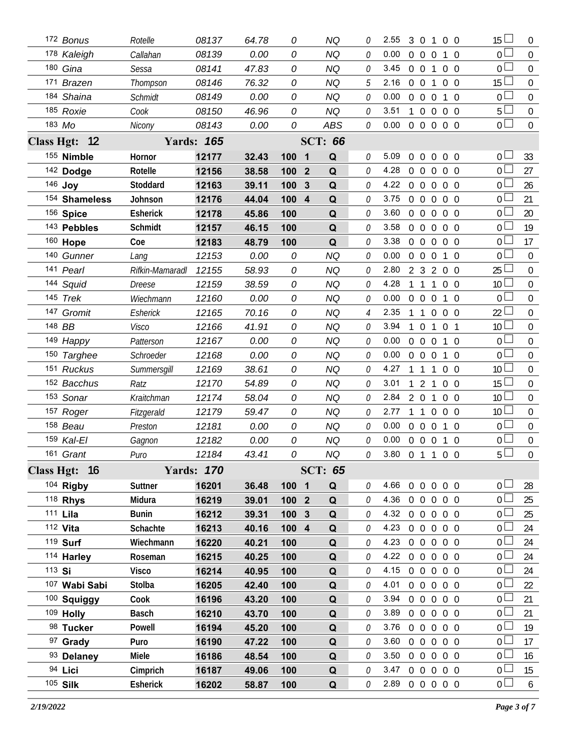|                   | 172 Bonus       | Rotelle         | 08137             | 64.78 | 0     |                | <b>NQ</b>      |          | 2.55           | 3              | $\overline{0}$ | 1                | 0 <sub>0</sub>                   | 15 <sup>15</sup> | $\overline{0}$   |
|-------------------|-----------------|-----------------|-------------------|-------|-------|----------------|----------------|----------|----------------|----------------|----------------|------------------|----------------------------------|------------------|------------------|
|                   | 178 Kaleigh     | Callahan        | 08139             | 0.00  | 0     |                | <b>NQ</b>      | $\Omega$ | 0.00           | $\overline{0}$ | $\overline{0}$ | $\overline{0}$   | $1\quad$ 0                       | $\Omega$         | $\overline{0}$   |
|                   | 180 Gina        | Sessa           | 08141             | 47.83 | 0     |                | ΝQ             | 0        | 3.45           | $0\quad 0$     |                | $\mathbf{1}$     | 0 <sub>0</sub>                   | $\overline{0}$   | $\mathbf 0$      |
|                   | 171 Brazen      | Thompson        | 08146             | 76.32 | 0     |                | <b>NQ</b>      | 5        | 2.16           | $0\quad 0$     |                | 1                | $0\quad 0$                       | 15 <sup>15</sup> | $\overline{0}$   |
|                   | 184 Shaina      | Schmidt         | 08149             | 0.00  | 0     |                | ΝQ             | 0        | 0.00           | $\overline{0}$ | $\overline{0}$ | $\overline{0}$   | $1\quad$ 0                       | $\overline{0}$   | $\mathbf 0$      |
|                   | 185 Roxie       | Cook            | 08150             | 46.96 | 0     |                | <b>NQ</b>      | 0        | 3.51           | $\mathbf{1}$   | $\mathbf 0$    | $\overline{0}$   | $0\quad 0$                       | 5                | $\mathbf 0$      |
|                   | 183 Mo          | Nicony          | 08143             | 0.00  | 0     |                | <b>ABS</b>     | 0        | 0.00           |                |                |                  | 0 0 0 0 0                        | 0 <sub>0</sub>   | $\mathbf 0$      |
| <b>Class Hgt:</b> | $\overline{12}$ |                 | <b>Yards: 165</b> |       |       |                | <b>SCT: 66</b> |          |                |                |                |                  |                                  |                  |                  |
|                   | 155 Nimble      | Hornor          | 12177             | 32.43 | 100   | $\blacksquare$ | Q              | 0        | 5.09           | $\overline{0}$ | $\mathbf 0$    | $\overline{0}$   | $0\quad 0$                       | $\overline{0}$   | 33               |
|                   | 142 Dodge       | Rotelle         | 12156             | 38.58 | 100   | $\overline{2}$ | Q              | 0        | 4.28           | $\overline{0}$ | $\mathbf 0$    | $\overline{0}$   | 0 <sub>0</sub>                   | $\overline{0}$   | 27               |
|                   | 146 Joy         | Stoddard        | 12163             | 39.11 | 100   | $\mathbf{3}$   | Q              | 0        | 4.22           | $\overline{0}$ | $\mathbf 0$    | $\overline{0}$   | 0 <sub>0</sub>                   | 0                | 26               |
|                   | 154 Shameless   | Johnson         | 12176             | 44.04 | 100 4 |                | Q              | 0        | 3.75           | $\mathbf{0}$   | $\overline{0}$ | $\mathbf 0$      | 0 <sub>0</sub>                   | $\mathbf 0$      | 21               |
|                   | 156 Spice       | <b>Esherick</b> | 12178             | 45.86 | 100   |                | Q              | 0        | 3.60           | $\overline{0}$ | $\mathbf 0$    | $\overline{0}$   | $0\quad 0$                       | $\overline{0}$   | 20               |
|                   | 143 Pebbles     | <b>Schmidt</b>  | 12157             | 46.15 | 100   |                | Q              | 0        | 3.58           | $\overline{0}$ | $\overline{0}$ | $\overline{0}$   | $0\quad 0$                       | $\mathbf 0$      | 19               |
|                   | 160 Hope        | Coe             | 12183             | 48.79 | 100   |                | Q              | 0        | 3.38           | $\overline{0}$ | $\overline{0}$ | $\overline{0}$   | $0\quad 0$                       | $\overline{0}$   | 17               |
|                   | 140 Gunner      | Lang            | 12153             | 0.00  | 0     |                | <b>NQ</b>      | 0        | 0.00           | $\overline{0}$ | $\overline{0}$ | $\overline{0}$   | $1\quad$ 0                       | $\overline{0}$   | $\mathbf 0$      |
|                   | 141 Pearl       | Rifkin-Mamaradl | 12155             | 58.93 | 0     |                | NQ             | 0        | 2.80           | 2 <sub>3</sub> |                | $\overline{2}$   | $0\quad 0$                       | 25               | $\mathbf 0$      |
|                   | 144 Squid       | Dreese          | 12159             | 38.59 | 0     |                | <b>NQ</b>      | 0        | 4.28           | $\mathbf{1}$   | $\overline{1}$ | $\mathbf{1}$     | $0\quad 0$                       | 10 <sup>°</sup>  | $\mathbf 0$      |
|                   | 145 Trek        | Wiechmann       | 12160             | 0.00  | 0     |                | <b>NQ</b>      | 0        | 0.00           | $\overline{0}$ | $\overline{0}$ | $\overline{0}$   | $1\quad$ 0                       | $\overline{0}$   | $\mathbf 0$      |
|                   | 147 Gromit      | Esherick        | 12165             | 70.16 | 0     |                | ΝQ             | 4        | 2.35           |                | $\overline{1}$ | $\mathbf 0$      | 0 <sub>0</sub>                   | 22               | $\mathbf 0$      |
|                   | 148 BB          | <b>Visco</b>    | 12166             | 41.91 | 0     |                | NQ             | 0        | 3.94           |                | $\overline{0}$ | 1                | $\overline{0}$<br>$\overline{1}$ | 10 <sup>1</sup>  | $\mathbf 0$      |
|                   | 149 Happy       | Patterson       | 12167             | 0.00  | 0     |                | <b>NQ</b>      | 0        | 0.00           | $\overline{0}$ | $\overline{0}$ | $\overline{0}$   | $1\quad$ 0                       | $\overline{0}$   | $\mathbf 0$      |
|                   | 150 Targhee     | Schroeder       | 12168             | 0.00  | 0     |                | NQ             | 0        | 0.00           | $\overline{0}$ | $\overline{0}$ | $\overline{0}$   | $\Omega$<br>1                    | $\overline{0}$   | $\mathbf 0$      |
|                   | 151 Ruckus      | Summersgill     | 12169             | 38.61 | 0     |                | ΝQ             | 0        | 4.27           |                | $\mathbf{1}$   | 1                | 0 <sub>0</sub>                   | 10 <sup>°</sup>  | 0                |
|                   | 152 Bacchus     | Ratz            | 12170             | 54.89 | 0     |                | NQ             | 0        | 3.01           |                | $\overline{2}$ | 1                | 0 <sub>0</sub>                   | 15               | 0                |
|                   | 153 Sonar       | Kraitchman      | 12174             | 58.04 | 0     |                | ΝQ             | 0        | 2.84           | 2 <sub>0</sub> |                | 1                | 0 <sub>0</sub>                   | 10 <sup>°</sup>  | $\mathbf 0$      |
|                   | 157 Roger       | Fitzgerald      | 12179             | 59.47 | 0     |                | NQ             | 0        | 2.77           |                | $\overline{1}$ | $\boldsymbol{0}$ | 0 <sub>0</sub>                   | 10 <sup>1</sup>  | $\mathbf 0$      |
|                   | 158 Beau        | Preston         | 12181             | 0.00  | 0     |                | ΝQ             | 0        | 0.00           | $\overline{0}$ | $\overline{0}$ | $\boldsymbol{0}$ | $\mathbf{1}$<br>$\Omega$         | $\mathbf 0$      | $\mathbf 0$      |
|                   | 159 Kal-El      | Gagnon          | 12182             | 0.00  | 0     |                | NQ             | 0        | 0.00           | $0\quad 0$     |                | $\overline{0}$   | $1\quad0$                        | 0                | $\boldsymbol{0}$ |
|                   | 161 Grant       | Puro            | 12184             | 43.41 | 0     |                | <b>NQ</b>      | 0        | 3.80           |                | 0 1 1 0        |                  | $\overline{0}$                   | 5                | $\overline{0}$   |
|                   | Class Hgt: 16   |                 | <b>Yards: 170</b> |       |       |                | <b>SCT: 65</b> |          |                |                |                |                  |                                  |                  |                  |
|                   | 104 Rigby       | Suttner         | 16201             | 36.48 | 100   | $\blacksquare$ | Q              | 0        | 4.66           | $\overline{0}$ | $\overline{0}$ | $\overline{0}$   | $0\quad 0$                       | $\overline{0}$   | 28               |
|                   | 118 Rhys        | Midura          | 16219             | 39.01 | 100 2 |                | Q              | 0        | 4.36           | $\overline{0}$ | $\overline{0}$ | $\overline{0}$   | $0\quad 0$                       | 0 <sup>1</sup>   | 25               |
|                   | 111 Lila        | <b>Bunin</b>    | 16212             | 39.31 | 100   | $\mathbf{3}$   | Q              | 0        | 4.32           | $0\quad 0$     |                | $\boldsymbol{0}$ | $0\quad 0$                       | $\overline{0}$   | 25               |
|                   | 112 Vita        | Schachte        | 16213             | 40.16 | 100 4 |                | $\mathbf Q$    | 0        | 4.23           | $0\quad 0$     |                | $\overline{0}$   | $0\quad 0$                       | $\overline{0}$   | 24               |
|                   | 119 Surf        | Wiechmann       | 16220             | 40.21 | 100   |                | Q              | 0        | 4.23           | $0\quad 0$     |                | $\boldsymbol{0}$ | $0\quad 0$                       | $\mathbf 0$      | 24               |
|                   | 114 Harley      | Roseman         | 16215             | 40.25 | 100   |                | Q              | 0        | 4.22           | $0\quad 0$     |                | $\overline{0}$   | $0\quad 0$                       | 0 <sub>0</sub>   | 24               |
| 113 Si            |                 | <b>Visco</b>    | 16214             | 40.95 | 100   |                | Q              | 0        | 4.15           | $0\quad 0$     |                | $\overline{0}$   | $0\quad 0$                       | $\overline{0}$   | 24               |
|                   | 107 Wabi Sabi   | Stolba          | 16205             | 42.40 | 100   |                | Q              | 0        | 4.01           | $0\quad 0$     |                | $\overline{0}$   | $0\quad 0$                       | 0 <sup>L</sup>   | 22               |
|                   | 100 Squiggy     | Cook            | 16196             | 43.20 | 100   |                | Q              | 0        | 3.94           | $0\quad 0$     |                | $\mathbf 0$      | $0\quad 0$                       | $\mathbf 0$      | 21               |
|                   | 109 Holly       | Basch           | 16210             | 43.70 | 100   |                | Q              | 0        | 3.89           | $0\quad 0$     |                | $\overline{0}$   | $0\quad 0$                       | 0 <sub>0</sub>   | 21               |
|                   | 98 Tucker       | Powell          | 16194             | 45.20 | 100   |                | Q              | 0        | 3.76           | $0\quad 0$     |                | $\boldsymbol{0}$ | $0\quad 0$                       | 0 <sup>1</sup>   | 19               |
|                   | 97 Grady        | Puro            | 16190             | 47.22 | 100   |                | Q              | 0        | 3.60           | $0\quad 0$     |                | $\overline{0}$   | $0\quad 0$                       | 0 <sub>0</sub>   | 17               |
|                   | 93 Delaney      | Miele           | 16186             | 48.54 | 100   |                | Q              | 0        | 3.50           | $0\quad 0$     |                | $\overline{0}$   | $0\quad 0$                       | 0                | 16               |
|                   | 94 Lici         | Cimprich        | 16187             | 49.06 | 100   |                | Q              | 0        | 3.47           | $0\quad 0$     |                |                  | $0\quad 0\quad 0$                | 0 <sub>0</sub>   | 15               |
|                   | 105 Silk        | Esherick        | 16202             | 58.87 | 100   |                | $\mathbf Q$    | 0        | 2.89 0 0 0 0 0 |                |                |                  |                                  | 0 <sub>0</sub>   | $6\overline{6}$  |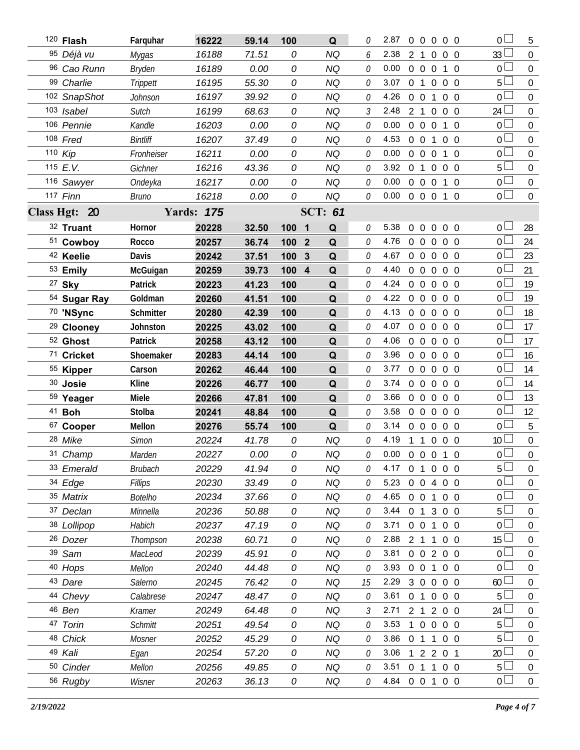| 120 Flash             | Farquhar       | 16222             | 59.14 | 100      | Q              | 0        | 2.87<br>$\overline{0}$<br>$\Omega$<br>$0\quad 0$<br>$\Omega$             | 0 <sup>1</sup><br>5                 |
|-----------------------|----------------|-------------------|-------|----------|----------------|----------|--------------------------------------------------------------------------|-------------------------------------|
| 95 Déjà vu            | Mygas          | 16188             | 71.51 | 0        | <b>NQ</b>      | 6        | 2.38<br>2<br>$\overline{1}$<br>$\overline{0}$<br>$0\quad 0$              | 33 <sup>1</sup><br>$\mathbf 0$      |
| 96 Cao Runn           | <b>Bryden</b>  | 16189             | 0.00  | 0        | <b>NQ</b>      | 0        | 0.00<br>$0\quad 0$<br>$\overline{0}$<br>$1\quad$ 0                       | $\overline{0}$<br>$\mathbf 0$       |
| 99 Charlie            | Trippett       | 16195             | 55.30 | 0        | <b>NQ</b>      | 0        | 3.07<br>0 <sub>1</sub><br>$\overline{0}$<br>$0\quad 0$                   | 5 <sup>1</sup><br>$\boldsymbol{0}$  |
| 102 SnapShot          | Johnson        | 16197             | 39.92 | 0        | <b>NQ</b>      | 0        | 4.26<br>$0\quad 0$<br>$\mathbf{1}$<br>$0\quad 0$                         | 0 <sup>1</sup><br>$\mathbf{0}$      |
| 103 Isabel            | Sutch          | 16199             | 68.63 | 0        | <b>NQ</b>      | 3        | 2.48<br>2 <sub>1</sub><br>$\overline{0}$<br>$0\quad 0$                   | 24 <sup>L</sup><br>0                |
| 106 Pennie            | Kandle         | 16203             | 0.00  | 0        | <b>NQ</b>      | 0        | 0.00<br>$0\quad 0$<br>$\overline{0}$<br>$1\quad$ 0                       | 0 <sup>1</sup><br>$\boldsymbol{0}$  |
| 108 Fred              | Bintliff       | 16207             | 37.49 | 0        | <b>NQ</b>      | 0        | 4.53<br>$0\quad 0$<br>$\overline{1}$<br>$0\quad 0$                       | 0 <sup>1</sup><br>$\boldsymbol{0}$  |
| 110 Kip               | Fronheiser     | 16211             | 0.00  | 0        | <b>NQ</b>      | 0        | 0.00<br>$0\quad 0$<br>$\overline{0}$<br>$1\quad$ 0                       | 0 <sub>0</sub><br>$\mathbf 0$       |
| 115 E.V.              | Gichner        | 16216             | 43.36 | 0        | <b>NQ</b>      | 0        | 3.92<br>0 <sub>1</sub><br>$\overline{0}$<br>$0\quad 0$                   | $5\perp$<br>$\boldsymbol{0}$        |
| 116 Sawyer            | Ondeyka        | 16217             | 0.00  | 0        | <b>NQ</b>      | 0        | 0.00<br>$\overline{0}$<br>$0\quad 0$<br>$1\quad0$                        | 0 <sub>0</sub><br>$\boldsymbol{0}$  |
| 117 Finn              | <b>Bruno</b>   | 16218             | 0.00  | 0        | <b>NQ</b>      | 0        | 0.00<br>0 0 0 1 0                                                        | $\overline{0}$<br>$\boldsymbol{0}$  |
| Class Hgt: 20         |                | <b>Yards: 175</b> |       |          | <b>SCT: 61</b> |          |                                                                          |                                     |
| 32 Truant             | Hornor         | 20228             | 32.50 | 100<br>1 | Q              | 0        | 5.38<br>$\overline{0}$<br>$\overline{0}$<br>$\overline{0}$<br>$0\quad 0$ | 0 <sup>1</sup><br>28                |
| 51 Cowboy             | Rocco          | 20257             | 36.74 | 100 2    | Q              | 0        | 4.76<br>$0\quad 0$<br>$\overline{0}$<br>$0\quad 0$                       | 0 L<br>24                           |
| 42 Keelie             | Davis          | 20242             | 37.51 | 100<br>3 | Q              | 0        | 4.67<br>$\overline{0}$<br>$0\quad 0$<br>$0\quad 0$                       | $\overline{0}$<br>23                |
| 53 Emily              | McGuigan       | 20259             | 39.73 | 100 4    | Q              | $\Omega$ | 4.40<br>$0\quad 0$<br>$\overline{0}$<br>$0\quad 0$                       | 0 <sup>L</sup><br>21                |
| 27 Sky                | Patrick        | 20223             | 41.23 | 100      | Q              | 0        | 4.24<br>$0\quad 0$<br>$\overline{0}$<br>$0\quad 0$                       | 19<br>0 <sup>1</sup>                |
| 54 Sugar Ray          | Goldman        | 20260             | 41.51 | 100      | Q              | 0        | 4.22<br>$0\quad 0$<br>$\overline{0}$<br>$0\quad 0$                       | 0 <sub>0</sub><br>19                |
| 70 'NSync             | Schmitter      | 20280             | 42.39 | 100      | Q              | 0        | 4.13<br>$0\quad 0$<br>$\overline{0}$<br>$0\quad 0$                       | 0 <sub>0</sub><br>18                |
| <sup>29</sup> Clooney | Johnston       | 20225             | 43.02 | 100      | Q              | 0        | 4.07<br>$0\quad 0$<br>$\overline{0}$<br>$0\quad 0$                       | 0 <sub>0</sub><br>17                |
| <sup>52</sup> Ghost   | Patrick        | 20258             | 43.12 | 100      | Q              | 0        | 4.06<br>$0\quad 0$<br>$\overline{0}$<br>$0\quad 0$                       | 17<br>0 <sub>l</sub>                |
| 71 Cricket            | Shoemaker      | 20283             | 44.14 | 100      | Q              | 0        | 3.96<br>$\overline{0}$<br>$\overline{0}$<br>$\overline{0}$<br>$0\quad 0$ | 0 <sub>0</sub><br>16                |
| 55 Kipper             | Carson         | 20262             | 46.44 | 100      | Q              | 0        | 3.77<br>$0\quad 0$<br>$\overline{0}$<br>$0\quad 0$                       | $0-$<br>14                          |
| 30 Josie              | <b>Kline</b>   | 20226             | 46.77 | 100      | Q              | 0        | 3.74<br>$0\quad 0$<br>$\overline{0}$<br>$0\quad 0$                       | 0 <sub>0</sub><br>14                |
| 59 Yeager             | Miele          | 20266             | 47.81 | 100      | Q              | 0        | 3.66<br>$0\quad 0$<br>$\overline{0}$<br>$0\quad 0$                       | 0 <sup>L</sup><br>13                |
| 41 <b>Boh</b>         | Stolba         | 20241             | 48.84 | 100      | Q              | 0        | 3.58<br>$0\quad 0$<br>$\overline{0}$<br>$0\quad 0$                       | 0 <sub>0</sub><br>12                |
| 67 Cooper             | Mellon         | 20276             | 55.74 | 100      | Q              | 0        | 3.14<br>$0\quad 0$<br>$\overline{0}$<br>$0\quad 0$                       | 5<br>0 l                            |
| 28 Mike               | <b>Simon</b>   | 20224             | 41.78 | 0        | NQ             | $\theta$ | 4.19<br>1 1 0 0 0                                                        | $\boldsymbol{0}$<br>10 <sup>1</sup> |
| 31 Champ              | Marden         | 20227             | 0.00  | 0        | <b>NQ</b>      | 0        | $0.00 \t0 \t0 \t0 \t1 \t0$                                               | $\overline{0}$<br>$\overline{0}$    |
| 33 Emerald            | <b>Brubach</b> | 20229             | 41.94 | 0        | <b>NQ</b>      | 0        | 4.17 0 1 0 0 0                                                           | 5 <sup>1</sup><br>$\mathbf 0$       |
| 34 Edge               | Fillips        | 20230             | 33.49 | 0        | <b>NQ</b>      | 0        | 5.23<br>0 0 4 0 0                                                        | 0 <sup>1</sup><br>$\Omega$          |
| 35 Matrix             | <b>Botelho</b> | 20234             | 37.66 | 0        | <b>NQ</b>      | 0        | 4.65<br>$0 \t0 \t1$<br>$0\quad 0$                                        | 0 <sup>2</sup><br>0                 |
| 37 Declan             | Minnella       | 20236             | 50.88 | 0        | <b>NQ</b>      | 0        | 3.44<br>0 1 3 0 0                                                        | 5 <sup>1</sup><br>$\overline{0}$    |
| 38 Lollipop           | Habich         | 20237             | 47.19 | 0        | <b>NQ</b>      | 0        | 3.71<br>0 0 1 0 0                                                        | 0 <sub>0</sub><br>$\mathbf 0$       |
| 26 Dozer              | Thompson       | 20238             | 60.71 | 0        | <b>NQ</b>      | 0        | 2.88<br>2 1 1 0 0                                                        | 15 <sup>1</sup><br>$\overline{0}$   |
| 39 Sam                | MacLeod        | 20239             | 45.91 | 0        | <b>NQ</b>      | 0        | 3.81<br>0 0 2 0 0                                                        | 0 <sub>0</sub><br>$\boldsymbol{0}$  |
| 40 Hops               | Mellon         | 20240             | 44.48 | 0        | <b>NQ</b>      | 0        | 3.93<br>0 0 1 0 0                                                        | 0 L<br>$\overline{0}$               |
| 43 Dare               | Salerno        | 20245             | 76.42 | 0        | <b>NQ</b>      | 15       | 2.29<br>3 0 0 0 0                                                        | 60 <sup>1</sup><br>$\boldsymbol{0}$ |
| 44 Chevy              | Calabrese      | 20247             | 48.47 | 0        | <b>NQ</b>      | 0        | 3.61<br>0 1 0 0 0                                                        | 5 <sup>1</sup><br>$\overline{0}$    |
| 46 Ben                | Kramer         | 20249             | 64.48 | 0        | <b>NQ</b>      | 3        | 2.71<br>200<br>2 1                                                       | 24<br>$\boldsymbol{0}$              |
| 47 Torin              | <b>Schmitt</b> | 20251             | 49.54 | 0        | <b>NQ</b>      | 0        | 3.53<br>$\overline{0}$<br>$\mathbf{1}$<br>$\overline{0}$<br>$0\quad 0$   | 5 <sup>1</sup><br>$\overline{0}$    |
| 48 Chick              | Mosner         | 20252             | 45.29 | 0        | <b>NQ</b>      | 0        | 3.86<br>0 1 1<br>$0\quad 0$                                              | 5 <sup>L</sup><br>$\mathbf 0$       |
| 49 Kali               | Egan           | 20254             | 57.20 | 0        | <b>NQ</b>      | 0        | 3.06<br>1 2 2 0 1                                                        | 20<br>$\overline{0}$                |
| 50 Cinder             | Mellon         | 20256             | 49.85 | 0        | <b>NQ</b>      | 0        | 3.51 0 1 1 0 0                                                           | 5 <sup>1</sup><br>$\mathbf 0$       |
| 56 Rugby              | Wisner         | 20263             | 36.13 | 0        | NQ             | 0        | 4.84 0 0 1 0 0                                                           | 0 L<br>$\overline{0}$               |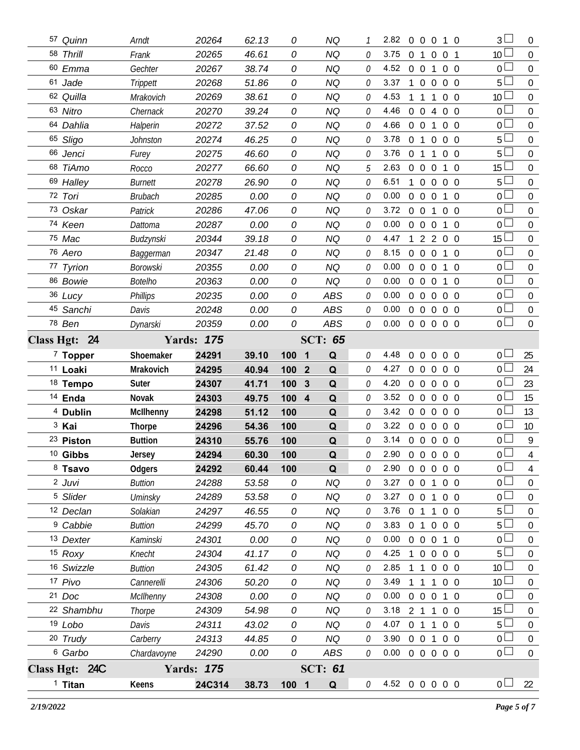| 57 Quinn             | Arndt            | 20264             | 62.13 | 0                     | <b>NQ</b>      | 1            | 2.82 0 0 0 1 0                                             |                   | $3+$             | $\overline{0}$   |
|----------------------|------------------|-------------------|-------|-----------------------|----------------|--------------|------------------------------------------------------------|-------------------|------------------|------------------|
| 58 Thrill            | Frank            | 20265             | 46.61 | 0                     | <b>NQ</b>      | 0            | 3.75<br>$\overline{0}$<br>$\overline{1}$                   | $0\quad0\quad1$   | 10 <sup>2</sup>  | $\overline{0}$   |
| 60 Emma              | Gechter          | 20267             | 38.74 | 0                     | <b>NQ</b>      | 0            | 4.52<br>$0\quad 0$<br>1                                    | $0\quad 0$        | $\overline{0}$   | $\overline{0}$   |
| 61 Jade              | Trippett         | 20268             | 51.86 | 0                     | <b>NQ</b>      | 0            | 3.37<br>$0\quad 0$<br>$\mathbf{1}$                         | $0\quad 0$        | 5 <sub>1</sub>   | $\overline{0}$   |
| 62 Quilla            | Mrakovich        | 20269             | 38.61 | 0                     | <b>NQ</b>      | 0            | 4.53<br>$\mathbf{1}$<br>1<br>$\overline{1}$                | $0\quad 0$        | 10 <sup>1</sup>  | $\overline{0}$   |
| 63 Nitro             | Chernack         | 20270             | 39.24 | 0                     | <b>NQ</b>      | 0            | 4.46<br>$\overline{0}$<br>$0\quad 4$                       | $0\quad 0$        | $0-$             | $\mathbf 0$      |
| 64 Dahlia            | Halperin         | 20272             | 37.52 | 0                     | <b>NQ</b>      | 0            | 4.66<br>$0\quad 0$<br>$\mathbf{1}$                         | $0\quad 0$        | 0 <sub>0</sub>   | $\mathbf 0$      |
| 65 Sligo             | Johnston         | 20274             | 46.25 | 0                     | <b>NQ</b>      | 0            | 3.78<br>0 <sub>1</sub><br>$\overline{0}$                   | $0\quad 0$        | 5 <sub>1</sub>   | $\mathbf 0$      |
| 66 Jenci             | Furey            | 20275             | 46.60 | 0                     | <b>NQ</b>      | 0            | 3.76<br>0 <sub>1</sub><br>$\mathbf{1}$                     | $0\quad 0$        | 5                | $\mathbf 0$      |
| 68 TiAmo             | Rocco            | 20277             | 66.60 | 0                     | <b>NQ</b>      | 5            | 2.63<br>$\overline{0}$<br>$0\quad 0$                       | 1 0               | 15 <sup>15</sup> | $\mathbf 0$      |
| 69 Halley            | <b>Burnett</b>   | 20278             | 26.90 | 0                     | <b>NQ</b>      | 0            | 6.51<br>$0\quad 0$<br>$\mathbf{1}$                         | $0\quad 0$        | 5                | $\mathbf 0$      |
| 72 Tori              | Brubach          | 20285             | 0.00  | 0                     | <b>NQ</b>      | 0            | 0.00<br>$\mathbf 0$<br>$0\quad 0$                          | $1\quad$ 0        | 0 <sub>0</sub>   | $\mathbf 0$      |
| 73 Oskar             | Patrick          | 20286             | 47.06 | 0                     | <b>NQ</b>      | 0            | 3.72<br>$0\quad 0$<br>$\mathbf{1}$                         | $0\quad 0$        | 0 <sub>0</sub>   | $\mathbf 0$      |
| 74 Keen              | Dattoma          | 20287             | 0.00  | 0                     | <b>NQ</b>      | 0            | 0.00<br>$\overline{0}$<br>$0\quad 0$                       | 1 0               | $0-$             | $\mathbf 0$      |
| 75 Mac               | Budzynski        | 20344             | 39.18 | 0                     | NQ             | 0            | 4.47<br>2200<br>$\mathbf{1}$                               |                   | 15 <sup>15</sup> | $\mathbf 0$      |
| 76 Aero              | Baggerman        | 20347             | 21.48 | 0                     | <b>NQ</b>      | 0            | 8.15<br>$\overline{0}$<br>$0\quad 0$                       | $1\quad$ 0        | 0 <sup>1</sup>   | $\mathbf 0$      |
| 77 Tyrion            | <b>Borowski</b>  | 20355             | 0.00  | 0                     | <b>NQ</b>      | 0            | 0.00<br>0 <sub>0</sub><br>$\overline{0}$                   | 1 0               | 0 <sup>1</sup>   | $\mathbf 0$      |
| 86 Bowie             | <b>Botelho</b>   | 20363             | 0.00  | 0                     | <b>NQ</b>      | 0            | 0.00<br>0 0 0 1 0                                          |                   | 0 <sub>0</sub>   | $\mathbf 0$      |
| 36 Lucy              | <b>Phillips</b>  | 20235             | 0.00  | 0                     | ABS            | 0            | 0.00<br>$0\quad 0$                                         | $0\quad 0\quad 0$ | $0-$             | $\mathbf 0$      |
| 45 Sanchi            | Davis            | 20248             | 0.00  | 0                     | <b>ABS</b>     | 0            | 0.00<br>0 0 0 0 0                                          |                   | $0-$             | $\mathbf 0$      |
| 78 Ben               | Dynarski         | 20359             | 0.00  | 0                     | <b>ABS</b>     | $\mathcal O$ | 0.00<br>0 0 0 0 0                                          |                   | 0 <sub>0</sub>   | $\mathbf 0$      |
| Class Hgt: 24        |                  | <b>Yards: 175</b> |       |                       | <b>SCT: 65</b> |              |                                                            |                   |                  |                  |
| $7$ Topper           | Shoemaker        | 24291             | 39.10 | 100 1                 | Q              | 0            | 4.48<br>$\overline{0}$<br>$\overline{0}$<br>$\overline{0}$ | $0\quad 0$        | 0 L              | 25               |
| 11 Loaki             | Mrakovich        | 24295             | 40.94 | 100<br>$\overline{2}$ | Q              | 0            | 4.27<br>$0\quad 0\quad 0$                                  | $0\quad 0$        | $0-$             | 24               |
| <sup>18</sup> Tempo  | Suter            | 24307             | 41.71 | 100<br>3              | Q              | 0            | 4.20<br>0 0 0 0 0                                          |                   | 0 <sup>L</sup>   | 23               |
| <sup>14</sup> Enda   | Novak            | 24303             | 49.75 | 100<br>$\overline{4}$ | Q              | 0            | 3.52<br>0 0 0 0 0                                          |                   | 0 L              | 15               |
| <sup>4</sup> Dublin  | <b>McIlhenny</b> | 24298             | 51.12 | 100                   | Q              | 0            | 3.42 0 0 0 0 0                                             |                   | 0 <sup>L</sup>   | 13               |
| <sup>3</sup> Kai     | <b>Thorpe</b>    | 24296             | 54.36 | 100                   | Q              | O.           | 3.22<br>00000                                              |                   | 0 <sub>0</sub>   | 10 <sup>°</sup>  |
| <sup>23</sup> Piston | <b>Buttion</b>   | 24310             | 55.76 | 100                   | Q              | 0            | 3.14 0 0 0 0 0                                             |                   | 0 <sup>1</sup>   | 9                |
| <sup>10</sup> Gibbs  | Jersey           | 24294             | 60.30 | 100                   | $\Omega$       | 0            | 2.90 0 0 0 0 0                                             |                   | 0 <sup>1</sup>   | 4                |
| 8 Tsavo              | Odgers           | 24292             | 60.44 | 100                   | Q              | 0            | 2.90 0 0 0 0 0                                             |                   | 0 <sub>0</sub>   | $\overline{4}$   |
| 2 Juvi               | <b>Buttion</b>   | 24288             | 53.58 | 0                     | <b>NQ</b>      | 0            | 3.27<br>$0\quad 0$<br>$\mathbf{1}$                         | $0\quad 0$        | 0l               | $\boldsymbol{0}$ |
| <sup>5</sup> Slider  | <b>Uminsky</b>   | 24289             | 53.58 | 0                     | <b>NQ</b>      | 0            | $3.27$ 0 0 1                                               | $0\quad 0$        | 0 <sup>1</sup>   | $\boldsymbol{0}$ |
| 12 Declan            | Solakian         | 24297             | 46.55 | 0                     | <b>NQ</b>      | 0            | 3.76<br>0 1 1 0 0                                          |                   | 5 <sup>1</sup>   | $\boldsymbol{0}$ |
| <sup>9</sup> Cabbie  | <b>Buttion</b>   | 24299             | 45.70 | 0                     | <b>NQ</b>      | 0            | 3.83<br>0 1 0 0 0                                          |                   | 5 <sub>1</sub>   | $\mathbf 0$      |
| 13 Dexter            | Kaminski         | 24301             | 0.00  | 0                     | <b>NQ</b>      | 0            | 0.00<br>0 0 0 1 0                                          |                   | $0-$             | $\boldsymbol{0}$ |
| 15 Roxy              | Knecht           | 24304             | 41.17 | 0                     | <b>NQ</b>      | 0            | 4.25<br>0 0 0 0<br>$\mathbf{1}$                            |                   | $5+$             | $\overline{0}$   |
| 16 Swizzle           | <b>Buttion</b>   | 24305             | 61.42 | 0                     | <b>NQ</b>      | 0            | 2.85<br>1                                                  | $0\quad 0\quad 0$ | 10 <sup>L</sup>  | $\boldsymbol{0}$ |
| 17 Pivo              | Cannerelli       | 24306             | 50.20 | 0                     | <b>NQ</b>      | 0            | 3.49<br>1 1                                                | 100               | 10 <sup>L</sup>  | $\boldsymbol{0}$ |
| 21 Doc               | McIlhenny        | 24308             | 0.00  | 0                     | <b>NQ</b>      | 0            | 0.00<br>0 0 0 1 0                                          |                   | 0 L              | $\boldsymbol{0}$ |
| 22 Shambhu           | Thorpe           | 24309             | 54.98 | 0                     | <b>NQ</b>      | 0            | 3.18 2 1 1 0 0                                             |                   | 15 <sup>1</sup>  | $\boldsymbol{0}$ |
| 19 Lobo              | Davis            | 24311             | 43.02 | 0                     | <b>NQ</b>      | 0            | 4.07 0 1 1 0 0                                             |                   | 5 <sup>1</sup>   | $\boldsymbol{0}$ |
| 20 Trudy             | Carberry         | 24313             | 44.85 | 0                     | <b>NQ</b>      | 0            | 3.90 0 0 1 0 0                                             |                   | 0 <sup>1</sup>   | $\boldsymbol{0}$ |
| <sup>6</sup> Garbo   | Chardavoyne      | 24290             | 0.00  | 0                     | ABS            | 0            | $0.00 \t0 \t0 \t0 \t0 \t0$                                 |                   | 0 <sup>1</sup>   | $\mathbf 0$      |
| Class Hgt: 24C       |                  | <b>Yards: 175</b> |       |                       | <b>SCT: 61</b> |              |                                                            |                   |                  |                  |
| $1$ Titan            | Keens            | 24C314            | 38.73 | 100 1                 | Q              | $\mathcal O$ | 4.52 0 0 0 0 0                                             |                   | 0 <sub>l</sub>   | 22               |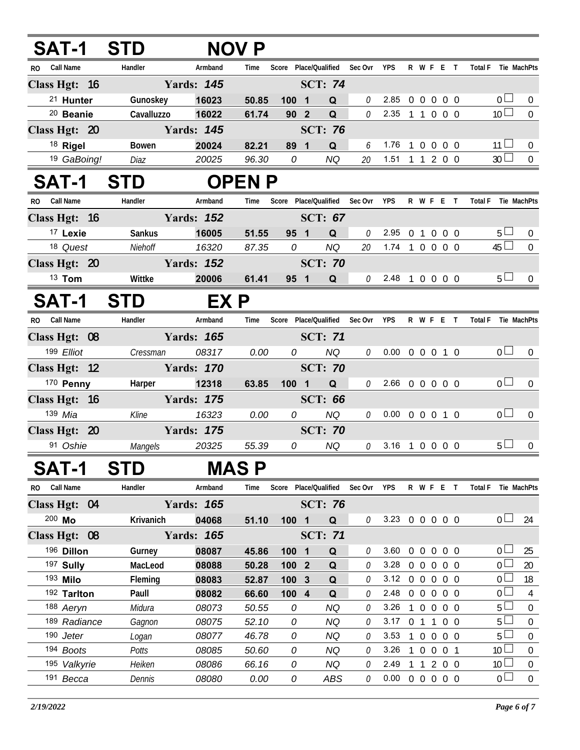| <b>SAT-1</b>         | <b>STD</b> |                   | <b>NOV P</b>  |                               |                |                       |                            |                   |                |                          |                 |                  |
|----------------------|------------|-------------------|---------------|-------------------------------|----------------|-----------------------|----------------------------|-------------------|----------------|--------------------------|-----------------|------------------|
| RO Call Name         | Handler    | Armband           | Time          | Score Place/Qualified         |                | Sec Ovr<br><b>YPS</b> |                            |                   |                | R W F E T                | <b>Total F</b>  | Tie MachPts      |
| Class Hgt: 16        |            | <b>Yards: 145</b> |               |                               | <b>SCT: 74</b> |                       |                            |                   |                |                          |                 |                  |
| <sup>21</sup> Hunter | Gunoskey   | 16023             | 50.85         | 100 1                         | Q              | $\theta$<br>2.85      |                            | $\overline{0}$    |                | $0\quad 0\quad 0\quad 0$ | 0 <sub>0</sub>  | $\Omega$         |
| <sup>20</sup> Beanie | Cavalluzzo | 16022             | 61.74         | 90 2                          | Q              | 0<br>2.35             | $\overline{1}$             |                   |                | 1 0 0 0                  | 10 <sup>1</sup> | $\mathbf 0$      |
| Class Hgt: 20        |            | <b>Yards: 145</b> |               |                               | <b>SCT: 76</b> |                       |                            |                   |                |                          |                 |                  |
| 18 Rigel             | Bowen      | 20024             | 82.21         | 89 1                          | Q              | 1.76<br>6             |                            |                   |                | 0 0 0 0                  | $11 \Box$       | $\Omega$         |
| 19 GaBoing!          | Diaz       | 20025             | 96.30         | 0                             | <b>NQ</b>      | 20                    | 1.51 1 1 2 0 0             |                   |                |                          | 30 <sup>1</sup> | $\overline{0}$   |
| <b>SAT-1</b>         | <b>STD</b> |                   | <b>OPEN P</b> |                               |                |                       |                            |                   |                |                          |                 |                  |
| RO Call Name         | Handler    | Armband           | Time          | Score Place/Qualified Sec Ovr |                | <b>YPS</b>            |                            |                   |                | R W F E T                | Total F         | Tie MachPts      |
| Class Hgt: 16        |            | <b>Yards: 152</b> |               |                               | <b>SCT: 67</b> |                       |                            |                   |                |                          |                 |                  |
| <sup>17</sup> Lexie  | Sankus     | 16005             | 51.55         | 95 1                          | Q              | 2.95<br>0             | $\mathbf{0}$               |                   | $\overline{0}$ | 0 <sub>0</sub>           | $5\perp$        | $\boldsymbol{0}$ |
| 18 Quest             | Niehoff    | 16320             | 87.35         | 0                             | <b>NQ</b>      | 20                    | $1.74$ 1 0 0 0 0           |                   |                |                          | $45 \Box$       | $\overline{0}$   |
| Class Hgt: 20        |            | <b>Yards: 152</b> |               |                               | <b>SCT: 70</b> |                       |                            |                   |                |                          |                 |                  |
| $13$ Tom             | Wittke     | 20006             | 61.41         | 95 1                          | Q              | $0$ 2.48 1 0 0 0 0    |                            |                   |                |                          | $5 \Box$        | $\Omega$         |
|                      |            |                   |               |                               |                |                       |                            |                   |                |                          |                 |                  |
| SAT-1                | <b>STD</b> | EX P              |               |                               |                |                       |                            |                   |                |                          |                 |                  |
| RO Call Name         | Handler    | Armband           | Time          | Score Place/Qualified Sec Ovr |                | <b>YPS</b>            |                            |                   |                | R W F E T                | <b>Total F</b>  | Tie MachPts      |
| Class Hgt: 08        |            | <b>Yards: 165</b> |               |                               | <b>SCT: 71</b> |                       |                            |                   |                |                          |                 |                  |
| 199 Elliot           | Cressman   | 08317             | 0.00          | 0                             | <b>NQ</b>      | 0.00<br>0             |                            |                   |                | 0 0 0 1 0                | 0 <sub>0</sub>  | $\overline{0}$   |
| Class Hgt: 12        |            | <b>Yards: 170</b> |               |                               | <b>SCT: 70</b> |                       |                            |                   |                |                          |                 |                  |
| 170 Penny            | Harper     | 12318             | 63.85         | 100 1                         | Q              | 0                     | 2.66 0 0 0 0 0             |                   |                |                          | 0 <sub>1</sub>  | $\boldsymbol{0}$ |
| Class Hgt: 16        |            | <b>Yards: 175</b> |               |                               | <b>SCT: 66</b> |                       |                            |                   |                |                          |                 |                  |
| 139 Mia              | Kline      | 16323             | 0.00          | 0                             | <b>NQ</b>      | 0                     | $0.00 \t0 \t0 \t0 \t1 \t0$ |                   |                |                          | 0 <sub>0</sub>  | $\pmb{0}$        |
| Class Hgt: 20        |            | <b>Yards: 175</b> |               |                               | <b>SCT: 70</b> |                       |                            |                   |                |                          |                 |                  |
| 91 Oshie             | Mangels    | 20325             | 55.39         | 0                             | <b>NQ</b>      | 3.16<br>$\theta$      | -1                         |                   |                | $0\quad 0\quad 0\quad 0$ | $5\perp$        | 0                |
| <b>SAT-1</b>         | <b>STD</b> |                   | <b>MAS P</b>  |                               |                |                       |                            |                   |                |                          |                 |                  |
| RO Call Name         | Handler    | Armband           | Time          | Score Place/Qualified         |                | Sec Ovr YPS           |                            |                   |                | R W F E T                | <b>Total F</b>  | Tie MachPts      |
| Class Hgt: 04        |            | <b>Yards: 165</b> |               |                               | <b>SCT: 76</b> |                       |                            |                   |                |                          |                 |                  |
| 200 Mo               | Krivanich  | 04068             | 51.10         | 100 1                         | Q              | 0                     | 3.23 0 0 0 0 0             |                   |                |                          | 0 <sub>0</sub>  | 24               |
| Class Hgt: 08        |            | <b>Yards: 165</b> |               |                               | <b>SCT: 71</b> |                       |                            |                   |                |                          |                 |                  |
| 196 Dillon           | Gurney     | 08087             | 45.86         | 100 1                         | Q              | 3.60<br>0             |                            |                   |                | 0 0 0 0 0                | 0 <sub>0</sub>  | 25               |
| 197 Sully            | MacLeod    | 08088             | 50.28         | 100 <sub>2</sub>              | Q              | 3.28<br>0             |                            | $0\quad 0$        | $\overline{0}$ | $0\quad 0$               | 0 <sub>0</sub>  | 20               |
| 193 Milo             | Fleming    | 08083             | 52.87         | 100 <sub>3</sub>              | Q              | 0                     | $3.12 \t0\t0\t0$           |                   |                | $0\quad 0$               | 0 <sub>0</sub>  | 18               |
| 192 Tarlton          | Paull      | 08082             | 66.60         | $100$ 4                       | Q              | 2.48<br>0             |                            | $0\quad 0\quad 0$ |                | $0\quad 0$               | 0 <sup>L</sup>  | $\overline{4}$   |
| 188 Aeryn            | Midura     | 08073             | 50.55         | 0                             | <b>NQ</b>      | 3.26<br>0             |                            | $\overline{1}$    |                | 0 0 0 0                  | $5 \Box$        | $\boldsymbol{0}$ |
| 189 Radiance         | Gagnon     | 08075             | 52.10         | 0                             | <b>NQ</b>      | 0                     | 3.17 0 1 1                 |                   |                | $0\quad 0$               | 5 <sub>1</sub>  | $\boldsymbol{0}$ |
| 190 Jeter            | Logan      | 08077             | 46.78         | 0                             | <b>NQ</b>      | 0<br>3.53             | $\overline{1}$             |                   | $0\quad 0$     | $0\quad 0$               | $5\Box$         | $\boldsymbol{0}$ |
| 194 Boots            | Potts      | 08085             | 50.60         | 0                             | <b>NQ</b>      | 3.26<br>0             |                            | $\mathbf{1}$      |                | 0 0 0 1                  | 10 <sup>1</sup> | $\pmb{0}$        |
| 195 Valkyrie         | Heiken     | 08086             | 66.16         | 0                             | <b>NQ</b>      | 2.49<br>0             | $\overline{1}$             |                   |                | 1200                     | 10 <sup>1</sup> | $\boldsymbol{0}$ |
| 191 Becca            | Dennis     | 08080             | 0.00          | 0                             | ABS            | $\mathcal O$          | $0.00 \t0 \t0 \t0 \t0 \t0$ |                   |                |                          | 0 <sub>0</sub>  | $\mathbf 0$      |